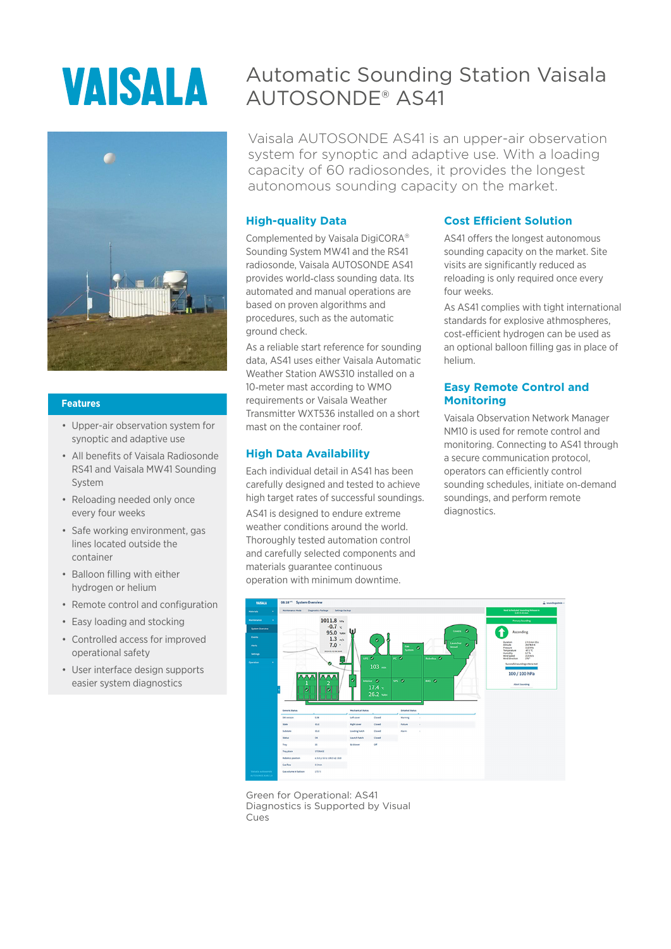# **VAISALA**



#### **Features**

- Upper-air observation system for synoptic and adaptive use
- All benefits of Vaisala Radiosonde RS41 and Vaisala MW41 Sounding System
- Reloading needed only once every four weeks
- Safe working environment, gas lines located outside the container
- Balloon filling with either hydrogen or helium
- Remote control and configuration
- Easy loading and stocking
- Controlled access for improved operational safety
- User interface design supports easier system diagnostics

# Automatic Sounding Station Vaisala AUTOSONDE® AS41

Vaisala AUTOSONDE AS41 is an upper-air observation system for synoptic and adaptive use. With a loading capacity of 60 radiosondes, it provides the longest autonomous sounding capacity on the market.

#### **High-quality Data**

Complemented by Vaisala DigiCORA<sup>®</sup> Sounding System MW41 and the RS41 radiosonde, Vaisala AUTOSONDE AS41 provides world‑class sounding data. Its automated and manual operations are based on proven algorithms and procedures, such as the automatic ground check.

As a reliable start reference for sounding data, AS41 uses either Vaisala Automatic Weather Station AWS310 installed on a 10‑meter mast according to WMO requirements or Vaisala Weather Transmitter WXT536 installed on a short mast on the container roof.

#### **High Data Availability**

Each individual detail in AS41 has been carefully designed and tested to achieve high target rates of successful soundings. AS41 is designed to endure extreme weather conditions around the world. Thoroughly tested automation control and carefully selected components and materials guarantee continuous operation with minimum downtime.

#### **Cost Efficient Solution**

AS41 offers the longest autonomous sounding capacity on the market. Site visits are significantly reduced as reloading is only required once every four weeks.

As AS41 complies with tight international standards for explosive athmospheres, cost‑efficient hydrogen can be used as an optional balloon filling gas in place of helium.

#### **Easy Remote Control and Monitoring**

Vaisala Observation Network Manager NM10 is used for remote control and monitoring. Connecting to AS41 through a secure communication protocol, operators can efficiently control sounding schedules, initiate on-demand soundings, and perform remote diagnostics.



Green for Operational: AS41 Diagnostics is Supported by Visual Cues